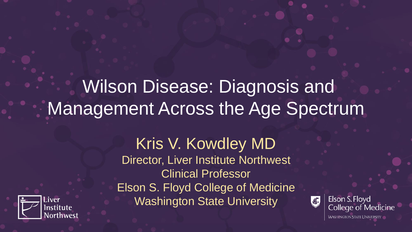# Wilson Disease: Diagnosis and Management Across the Age Spectrum



Kris V. Kowdley MD Director, Liver Institute Northwest Clinical Professor Elson S. Floyd College of Medicine Washington State University



Elson S. Floyd **College of Medicine WASHINGTON STATE UNIVERSITY**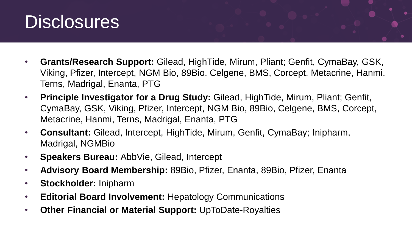

- **Grants/Research Support:** Gilead, HighTide, Mirum, Pliant; Genfit, CymaBay, GSK, Viking, Pfizer, Intercept, NGM Bio, 89Bio, Celgene, BMS, Corcept, Metacrine, Hanmi, Terns, Madrigal, Enanta, PTG
- **Principle Investigator for a Drug Study:** Gilead, HighTide, Mirum, Pliant; Genfit, CymaBay, GSK, Viking, Pfizer, Intercept, NGM Bio, 89Bio, Celgene, BMS, Corcept, Metacrine, Hanmi, Terns, Madrigal, Enanta, PTG
- **Consultant:** Gilead, Intercept, HighTide, Mirum, Genfit, CymaBay; Inipharm, Madrigal, NGMBio
- **Speakers Bureau:** AbbVie, Gilead, Intercept
- **Advisory Board Membership:** 89Bio, Pfizer, Enanta, 89Bio, Pfizer, Enanta
- **Stockholder:** Inipharm
- **Editorial Board Involvement:** Hepatology Communications
- **Other Financial or Material Support:** UpToDate-Royalties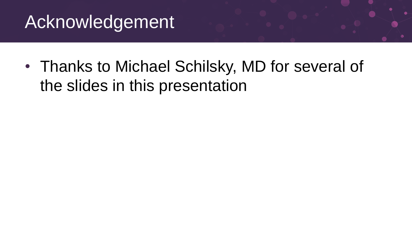## Acknowledgement

• Thanks to Michael Schilsky, MD for several of the slides in this presentation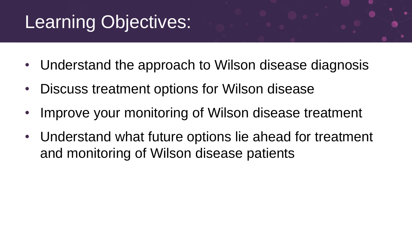# Learning Objectives:

- Understand the approach to Wilson disease diagnosis
- Discuss treatment options for Wilson disease
- Improve your monitoring of Wilson disease treatment
- Understand what future options lie ahead for treatment and monitoring of Wilson disease patients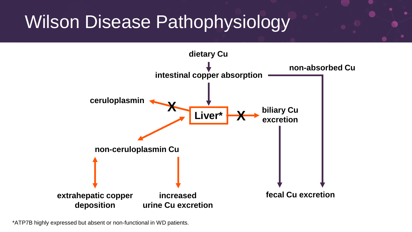## Wilson Disease Pathophysiology



\*ATP7B highly expressed but absent or non-functional in WD patients.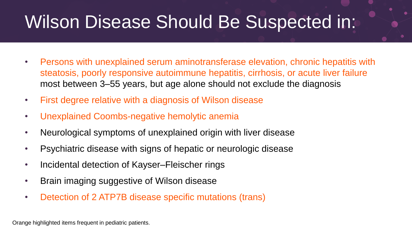# Wilson Disease Should Be Suspected in:

- Persons with unexplained serum aminotransferase elevation, chronic hepatitis with steatosis, poorly responsive autoimmune hepatitis, cirrhosis, or acute liver failure most between 3–55 years, but age alone should not exclude the diagnosis
- First degree relative with a diagnosis of Wilson disease
- Unexplained Coombs-negative hemolytic anemia
- Neurological symptoms of unexplained origin with liver disease
- Psychiatric disease with signs of hepatic or neurologic disease
- Incidental detection of Kayser–Fleischer rings
- Brain imaging suggestive of Wilson disease
- Detection of 2 ATP7B disease specific mutations (trans)

Orange highlighted items frequent in pediatric patients.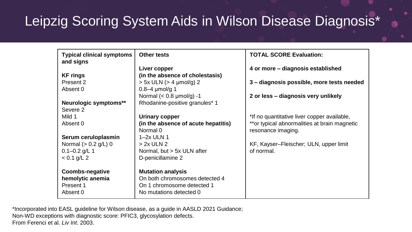## Leipzig Scoring System Aids in Wilson Disease Diagnosis\*

| <b>Typical clinical symptoms</b><br>and signs | <b>Other tests</b>                  | <b>TOTAL SCORE Evaluation:</b>                |
|-----------------------------------------------|-------------------------------------|-----------------------------------------------|
|                                               | Liver copper                        | 4 or more – diagnosis established             |
| <b>KF</b> rings                               | (in the absence of cholestasis)     |                                               |
| Present 2                                     | $> 5x$ ULN ( $> 4$ µmol/g) 2        | 3 - diagnosis possible, more tests needed     |
| Absent 0                                      | $0.8 - 4$ µmol/g 1                  |                                               |
|                                               | Normal $(< 0.8$ µmol/g) -1          | 2 or less - diagnosis very unlikely           |
| Neurologic symptoms**                         | Rhodanine-positive granules* 1      |                                               |
| Severe 2                                      |                                     |                                               |
| Mild 1                                        | <b>Urinary copper</b>               | *If no quantitative liver copper available,   |
| Absent 0                                      | (in the absence of acute hepatitis) | ** or typical abnormalities at brain magnetic |
|                                               | Normal 0                            | resonance imaging.                            |
| Serum ceruloplasmin                           | $1-2x$ ULN 1                        |                                               |
| Normal ( $> 0.2$ g/L) 0                       | $> 2x$ ULN 2                        | KF, Kayser-Fleischer; ULN, upper limit        |
| $0.1 - 0.2$ g/L 1                             | Normal, but > 5x ULN after          | of normal.                                    |
| $< 0.1$ g/L 2                                 | D-penicillamine 2                   |                                               |
|                                               |                                     |                                               |
| <b>Coombs-negative</b>                        | <b>Mutation analysis</b>            |                                               |
| hemolytic anemia                              | On both chromosomes detected 4      |                                               |
| Present 1                                     | On 1 chromosome detected 1          |                                               |
| Absent 0                                      | No mutations detected 0             |                                               |

\*Incorporated into EASL guideline for Wilson disease, as a guide in AASLD 2021 Guidance; Non-WD exceptions with diagnostic score: PFIC3, glycosylation defects. From Ferenci et al. *Liv Int*. 2003.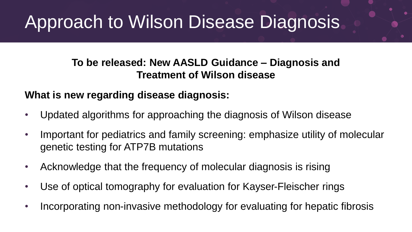# Approach to Wilson Disease Diagnosis

**To be released: New AASLD Guidance – Diagnosis and Treatment of Wilson disease** 

#### **What is new regarding disease diagnosis:**

- Updated algorithms for approaching the diagnosis of Wilson disease
- Important for pediatrics and family screening: emphasize utility of molecular genetic testing for ATP7B mutations
- Acknowledge that the frequency of molecular diagnosis is rising
- Use of optical tomography for evaluation for Kayser-Fleischer rings
- Incorporating non-invasive methodology for evaluating for hepatic fibrosis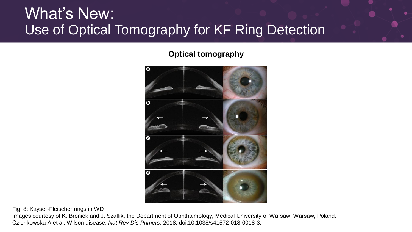### What's New: Use of Optical Tomography for KF Ring Detection

**Optical tomography**



Fig. 8: Kayser-Fleischer rings in WD

Images courtesy of K. Broniek and J. Szaflik, the Department of Ophthalmology, Medical University of Warsaw, Warsaw, Poland. Członkowska A et al. Wilson disease. *Nat Rev Dis Primers*. 2018. doi:10.1038/s41572-018-0018-3.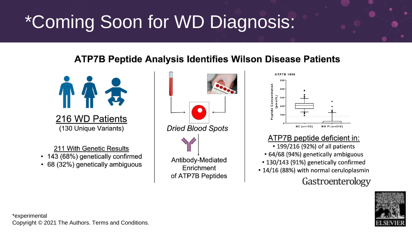# \*Coming Soon for WD Diagnosis:

#### **ATP7B Peptide Analysis Identifies Wilson Disease Patients**



211 With Genetic Results

- 143 (68%) genetically confirmed
- 68 (32%) genetically ambiguous





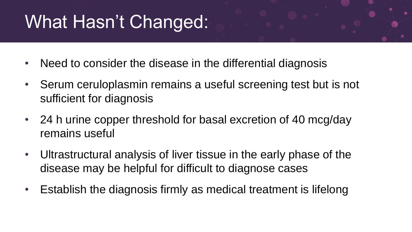# What Hasn't Changed:

- Need to consider the disease in the differential diagnosis
- Serum ceruloplasmin remains a useful screening test but is not sufficient for diagnosis
- 24 h urine copper threshold for basal excretion of 40 mcg/day remains useful
- Ultrastructural analysis of liver tissue in the early phase of the disease may be helpful for difficult to diagnose cases
- Establish the diagnosis firmly as medical treatment is lifelong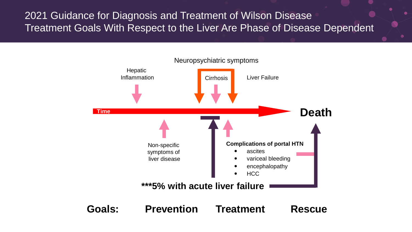#### 2021 Guidance for Diagnosis and Treatment of Wilson Disease Treatment Goals With Respect to the Liver Are Phase of Disease Dependent

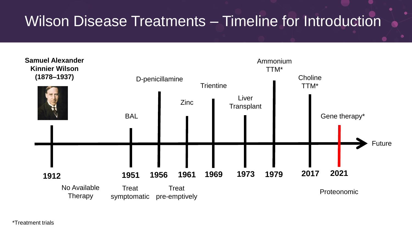### Wilson Disease Treatments – Timeline for Introduction



\*Treatment trials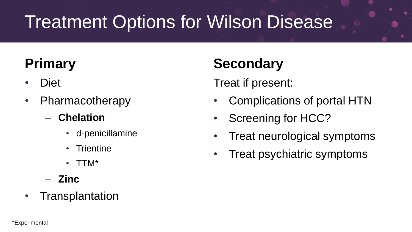# Treatment Options for Wilson Disease

## **Primary**

- Diet
- Pharmacotherapy
	- **Chelation**
		- d-penicillamine
		- **Trientine**
		- TTM\*
	- **Zinc**
- Transplantation

## **Secondary**

Treat if present:

- Complications of portal HTN
- Screening for HCC?
- Treat neurological symptoms
- Treat psychiatric symptoms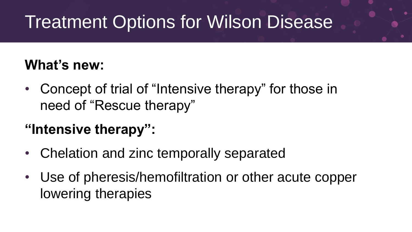# Treatment Options for Wilson Disease

#### **What's new:**

• Concept of trial of "Intensive therapy" for those in need of "Rescue therapy"

## **"Intensive therapy":**

- Chelation and zinc temporally separated
- Use of pheresis/hemofiltration or other acute copper lowering therapies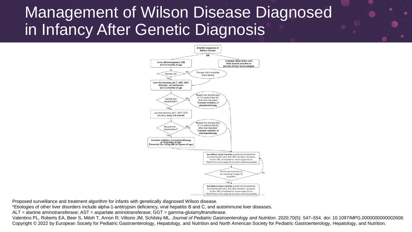## Management of Wilson Disease Diagnosed in Infancy After Genetic Diagnosis



Proposed surveillance and treatment algorithm for infants with genetically diagnosed Wilson disease.

\*Etiologies of other liver disorders include alpha-1-antitrypsin deficiency, viral hepatitis B and C, and autoimmune liver diseases.

ALT = alanine aminotransferase; AST = aspartate aminotransferase; GGT = gamma-glutamyltransferase.

Valentino PL, Roberts EA, Beer S, Miloh T, Arnon R; Vittorio JM, Schilsky ML. *Journal of Pediatric Gastroenterology and Nutrition*. 2020;70(5): 547–554. doi: 10.1097/MPG.0000000000002608. Copyright © 2022 by European Society for Pediatric Gastroenterology, Hepatology, and Nutrition and North American Society for Pediatric Gastroenterology, Hepatology, and Nutrition.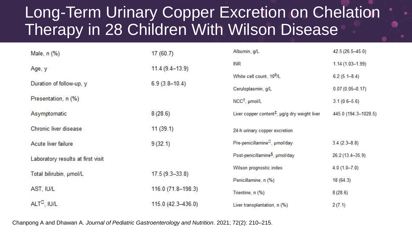## Long-Term Urinary Copper Excretion on Chelation Therapy in 28 Children With Wilson Disease

| Male, n (%)                       | 17(60.7)           | Albumin, g/L                                              | 42.5 (26.5-45.0)     |  |
|-----------------------------------|--------------------|-----------------------------------------------------------|----------------------|--|
| Age, y                            | $11.4(9.4-13.9)$   | <b>INR</b>                                                | $1.14(1.03 - 1.99)$  |  |
|                                   |                    | White cell count, 10 <sup>9</sup> /L                      | $6.2(5.1 - 8.4)$     |  |
| Duration of follow-up, y          | $6.9(3.8-10.4)$    | Ceruloplasmin, g/L                                        | $0.07(0.05 - 0.17)$  |  |
| Presentation, n (%)               |                    | NCC <sup>1</sup> , µmol/L                                 | $3.1(0.6-5.6)$       |  |
| Asymptomatic                      | 8(28.6)            | Liver copper content <sup>‡</sup> , µg/g dry weight liver | 445.0 (194.3-1028.5) |  |
| Chronic liver disease             | 11(39.1)           | 24-h urinary copper excretion                             |                      |  |
| Acute liver failure               | 9(32.1)            | Pre-penicillamine <sup>D</sup> , umol/day                 | $3.4(2.3 - 8.8)$     |  |
| Laboratory results at first visit |                    | Post-penicillamine <sup>§</sup> , µmol/day                | 26.2 (13.4-35.9)     |  |
| Total bilirubin, umol/L           | $17.5(9.3 - 33.8)$ | Wilson prognostic index                                   | $4.0(1.0 - 7.0)$     |  |
|                                   |                    | Penicillamine, n (%)                                      | 18 (64.3)            |  |
| AST, IU/L                         | 116.0 (71.8-198.3) | Trientine, n (%)                                          | 8(28.6)              |  |
| ALT <sup>D</sup> , IU/L           | 115.0 (42.3-436.0) | Liver transplantation, n (%)                              | 2(7.1)               |  |

Chanpong A and Dhawan A. *Journal of Pediatric Gastroenterology and Nutrition*. 2021; 72(2): 210–215.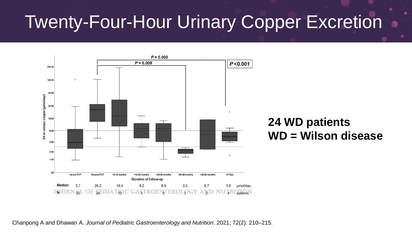# Twenty-Four-Hour Urinary Copper Excretion



#### **24 WD patients WD = Wilson disease**

Chanpong A and Dhawan A. *Journal of Pediatric Gastroenterology and Nutrition*. 2021; 72(2): 210–215.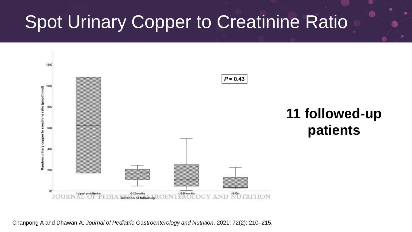# **Spot Urinary Copper to Creatinine Ratio**



Chanpong A and Dhawan A. *Journal of Pediatric Gastroenterology and Nutrition*. 2021; 72(2): 210–215.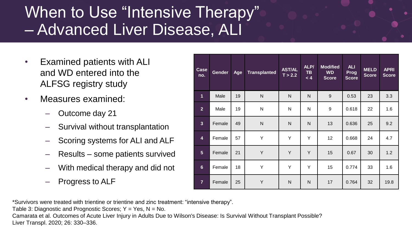## When to Use "Intensive Therapy" – Advanced Liver Disease, ALI

- Examined patients with ALI and WD entered into the ALFSG registry study
- Measures examined:
	- Outcome day 21
	- Survival without transplantation
	- Scoring systems for ALI and ALF
	- Results some patients survived
	- With medical therapy and did not
	- Progress to ALF

| Case<br>no.    | Gender | Age | <b>Transplanted</b> | <b>AST/AL</b><br>T > 2.2 | ALP/<br><b>TB</b><br>< 4 | <b>Modified</b><br><b>WD</b><br><b>Score</b> | <b>ALI</b><br>Prog<br><b>Score</b> | <b>MELD</b><br><b>Score</b> | <b>APRI</b><br><b>Score</b> |
|----------------|--------|-----|---------------------|--------------------------|--------------------------|----------------------------------------------|------------------------------------|-----------------------------|-----------------------------|
| $\mathbf{1}$   | Male   | 19  | N                   | N                        | N                        | 9                                            | 0.53                               | 23                          | 3.3                         |
| $\overline{2}$ | Male   | 19  | N                   | N                        | N                        | 9                                            | 0.618                              | 22                          | 1.6                         |
| $\overline{3}$ | Female | 49  | N                   | N                        | N                        | 13                                           | 0.636                              | 25                          | 9.2                         |
| 4              | Female | 57  | Y                   | Y                        | Y                        | 12 <sup>2</sup>                              | 0.668                              | 24                          | 4.7                         |
| 5              | Female | 21  | Y                   | Y                        | Y                        | 15                                           | 0.67                               | 30                          | 1.2                         |
| $6\phantom{a}$ | Female | 18  | Y                   | Y                        | Y                        | 15                                           | 0.774                              | 33                          | 1.6                         |
| $\overline{7}$ | Female | 25  | Y                   | N                        | $\mathsf{N}$             | 17                                           | 0.764                              | 32                          | 19.8                        |

\*Survivors were treated with trientine or trientine and zinc treatment: "intensive therapy".

Table 3: Diagnostic and Prognostic Scores;  $Y = Yes$ ,  $N = No$ .

Camarata et al. Outcomes of Acute Liver Injury in Adults Due to Wilson's Disease: Is Survival Without Transplant Possible? Liver Transpl. 2020; 26: 330–336.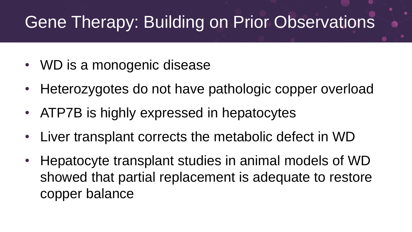## Gene Therapy: Building on Prior Observations

- WD is a monogenic disease
- Heterozygotes do not have pathologic copper overload
- ATP7B is highly expressed in hepatocytes
- Liver transplant corrects the metabolic defect in WD
- Hepatocyte transplant studies in animal models of WD showed that partial replacement is adequate to restore copper balance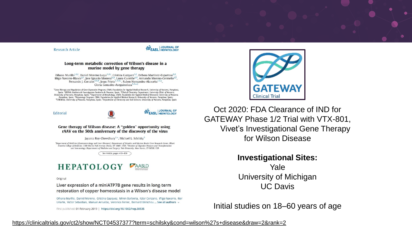

See Article, pages 419-426

#### **HEPATOLOGY AASLD**

Original

Liver expression of a miniATP7B gene results in long-term restoration of copper homeostasis in a Wilson's disease model

Oihana Murillo, Daniel Moreno, Cristina Gazquez, Miren Barberia, Itziar Cenzano, Iñigo Navarro, Iker Uriarte, Victor Sebastian, Manuel Arruebo, Veronica Ferrer, Bernard Bénichou ... See all authors v

First published: 01 February 2019 | https://doi.org/10.1002/hep.30535



Oct 2020: FDA Clearance of IND for GATEWAY Phase 1/2 Trial with VTX-801, Vivet's Investigational Gene Therapy for Wilson Disease

#### **Investigational Sites:**

Yale University of Michigan UC Davis

Initial studies on 18–60 years of age

#### <https://clinicaltrials.gov/ct2/show/NCT04537377?term=schilsky&cond=wilson%27s+disease&draw=2&rank=2>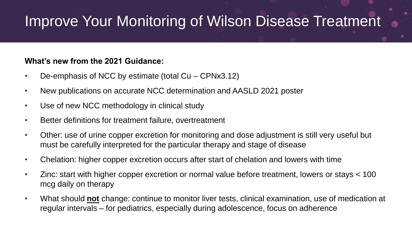## Improve Your Monitoring of Wilson Disease Treatment

#### **What's new from the 2021 Guidance:**

- De-emphasis of NCC by estimate (total Cu CPNx3.12)
- New publications on accurate NCC determination and AASLD 2021 poster
- Use of new NCC methodology in clinical study
- Better definitions for treatment failure, overtreatment
- Other: use of urine copper excretion for monitoring and dose adjustment is still very useful but must be carefully interpreted for the particular therapy and stage of disease
- Chelation: higher copper excretion occurs after start of chelation and lowers with time
- Zinc: start with higher copper excretion or normal value before treatment, lowers or stays < 100 mcg daily on therapy
- What should **not** change: continue to monitor liver tests, clinical examination, use of medication at regular intervals – for pediatrics, especially during adolescence, focus on adherence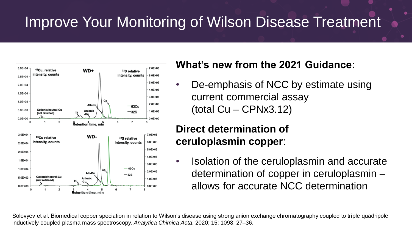## Improve Your Monitoring of Wilson Disease Treatment



#### **What's new from the 2021 Guidance:**

• De-emphasis of NCC by estimate using current commercial assay  $(total Cu - CPNx3.12)$ 

#### **Direct determination of ceruloplasmin copper**:

• Isolation of the ceruloplasmin and accurate determination of copper in ceruloplasmin – allows for accurate NCC determination

Solovyev et al. Biomedical copper speciation in relation to Wilson's disease using strong anion exchange chromatography coupled to triple quadripole inductively coupled plasma mass spectroscopy. *Analytica Chimica Acta*. 2020; 15: 1098: 27–36.